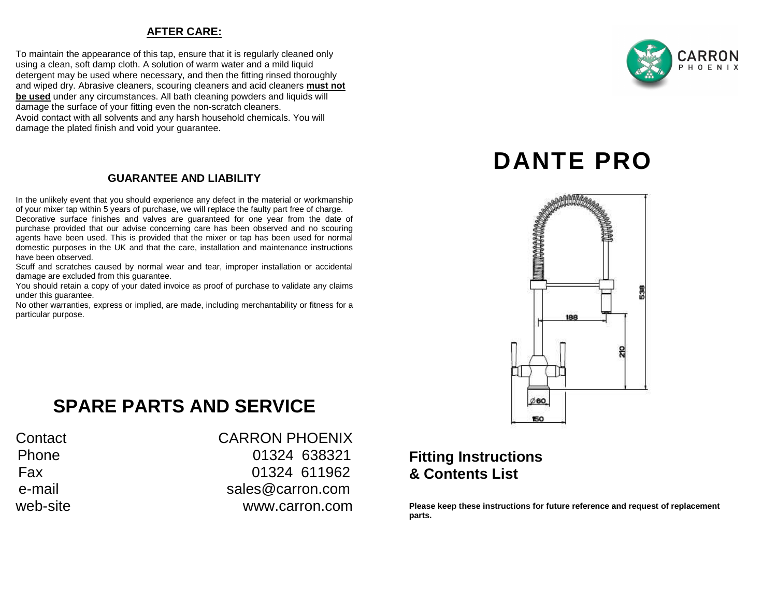### **AFTER CARE:**

To maintain the appearance of this tap, ensure that it is regularly cleaned only using a clean, soft damp cloth. A solution of warm water and a mild liquid detergent may be used where necessary, and then the fitting rinsed thoroughly and wiped dry. Abrasive cleaners, scouring cleaners and acid cleaners **must not be used** under any circumstances. All bath cleaning powders and liquids will damage the surface of your fitting even the non-scratch cleaners. Avoid contact with all solvents and any harsh household chemicals. You will damage the plated finish and void your guarantee.

### **GUARANTEE AND LIABILITY**

In the unlikely event that you should experience any defect in the material or workmanship of your mixer tap within 5 years of purchase, we will replace the faulty part free of charge. Decorative surface finishes and valves are guaranteed for one year from the date of

 purchase provided that our advise concerning care has been observed and no scouring agents have been used. This is provided that the mixer or tap has been used for normal domestic purposes in the UK and that the care, installation and maintenance instructions have been observed.

 Scuff and scratches caused by normal wear and tear, improper installation or accidental damage are excluded from this guarantee.

 You should retain a copy of your dated invoice as proof of purchase to validate any claims under this guarantee.

 No other warranties, express or implied, are made, including merchantability or fitness for a particular purpose.

## **SPARE PARTS AND SERVICE**

### Contact CARRON PHOENIX Phone 01324 638321 Fax 01324 611962 e-mail sales@carron.comweb-site www.carron.com

## **Fitting Instructions & Contents List**

**Please keep these instructions for future reference and request of replacement parts.**

# **DANTE PRO**